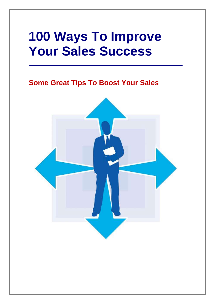# **100 Ways To Improve Your Sales Success**

## **Some Great Tips To Boost Your Sales**

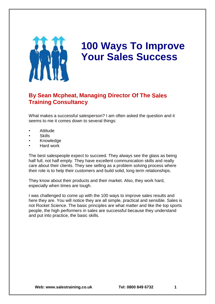

# **100 Ways To Improve Your Sales Success**

### **By Sean Mcpheat, Managing Director Of The Sales Training Consultancy**

What makes a successful salesperson? I am often asked the question and it seems to me it comes down to several things:

- Attitude
- **Skills**
- **Knowledge**
- Hard work

The best salespeople expect to succeed. They always see the glass as being half full, not half empty. They have excellent communication skills and really care about their clients. They see selling as a problem solving process where their role is to help their customers and build solid, long term relationships.

They know about their products and their market. Also, they work hard, especially when times are tough.

I was challenged to come up with the 100 ways to improve sales results and here they are. You will notice they are all simple, practical and sensible. Sales is not Rocket Science. The basic principles are what matter and like the top sports people, the high performers in sales are successful because they understand and put into practice, the basic skills.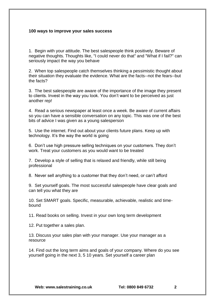#### **100 ways to improve your sales success**

1. Begin with your attitude. The best salespeople think positively. Beware of negative thoughts. Thoughts like, "I could never do that" and "What if I fail?" can seriously impact the way you behave

2. When top salespeople catch themselves thinking a pessimistic thought about their situation they evaluate the evidence. What are the facts--not the fears--but the facts?

3. The best salespeople are aware of the importance of the image they present to clients. Invest in the way you look. You don't want to be perceived as just another rep!

4. Read a serious newspaper at least once a week. Be aware of current affairs so you can have a sensible conversation on any topic. This was one of the best bits of advice I was given as a young salesperson

5. Use the internet. Find out about your clients future plans. Keep up with technology. It's the way the world is going

6. Don't use high pressure selling techniques on your customers. They don't work. Treat your customers as you would want to be treated

7. Develop a style of selling that is relaxed and friendly, while still being professional

8. Never sell anything to a customer that they don't need, or can't afford

9. Set yourself goals. The most successful salespeople have clear goals and can tell you what they are

10. Set SMART goals. Specific, measurable, achievable, realistic and timebound

11. Read books on selling. Invest in your own long term development

12. Put together a sales plan.

13. Discuss your sales plan with your manager. Use your manager as a resource

14. Find out the long term aims and goals of your company. Where do you see yourself going in the next 3, 5 10 years. Set yourself a career plan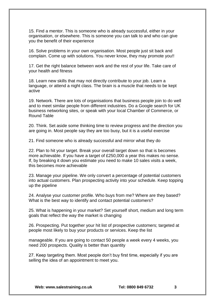15. Find a mentor. This is someone who is already successful, either in your organisation, or elsewhere. This is someone you can talk to and who can give you the benefit of their experience

16. Solve problems in your own organisation. Most people just sit back and complain. Come up with solutions. You never know, they may promote you!!

17. Get the right balance between work and the rest of your life. Take care of your health and fitness

18. Learn new skills that may not directly contribute to your job. Learn a language, or attend a night class. The brain is a muscle that needs to be kept active

19. Network. There are lots of organisations that business people join to do well and to meet similar people from different industries. Do a Google search for UK business networking sites, or speak with your local Chamber of Commerce, or Round Table

20. Think. Set aside some thinking time to review progress and the direction you are going in. Most people say they are too busy, but it is a useful exercise

21. Find someone who is already successful and mirror what they do

22. Plan to hit your target. Break your overall target down so that is becomes more achievable. If you have a target of £250,000 a year this makes no sense. If, by breaking it down you estimate you need to make 10 sales visits a week, this becomes more achievable

23. Manage your pipeline. We only convert a percentage of potential customers into actual customers. Plan prospecting activity into your schedule. Keep topping up the pipeline

24. Analyse your customer profile. Who buys from me? Where are they based? What is the best way to identify and contact potential customers?

25. What is happening in your market? Set yourself short, medium and long term goals that reflect the way the market is changing

26. Prospecting. Put together your hit list of prospective customers; targeted at people most likely to buy your products or services. Keep the list

manageable. If you are going to contact 50 people a week every 4 weeks, you need 200 prospects. Quality is better than quantity

27. Keep targeting them. Most people don't buy first time, especially if you are selling the idea of an appointment to meet you.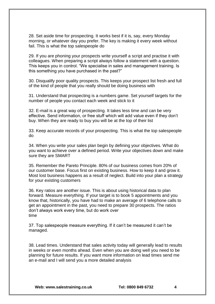28. Set aside time for prospecting. It works best if it is, say, every Monday morning, or whatever day you prefer. The key is making it every week without fail. This is what the top salespeople do

29. If you are phoning your prospects write yourself a script and practise it with colleagues. When preparing a script always follow a statement with a question. This keeps you in control. "We specialise in sales and management training. Is this something you have purchased in the past?"

30. Disqualify poor quality prospects. This keeps your prospect list fresh and full of the kind of people that you really should be doing business with

31. Understand that prospecting is a numbers game. Set yourself targets for the number of people you contact each week and stick to it

32. E-mail is a great way of prospecting. It takes less time and can be very effective. Send information, or free stuff which will add value even if they don't buy. When they are ready to buy you will be at the top of their list

33. Keep accurate records of your prospecting. This is what the top salespeople do

34. When you write your sales plan begin by defining your objectives. What do you want to achieve over a defined period. Write your objectives down and make sure they are SMART

35. Remember the Pareto Principle. 80% of our business comes from 20% of our customer base. Focus first on existing business. How to keep it and grow it. Most lost business happens as a result of neglect. Build into your plan a strategy for your existing customers

36. Key ratios are another issue. This is about using historical data to plan forward. Measure everything. If your target is to book 5 appointments and you know that, historically, you have had to make an average of 6 telephone calls to get an appointment in the past, you need to prepare 30 prospects. The ratios don't always work every time, but do work over time

37. Top salespeople measure everything. If it can't be measured it can't be managed.

38. Lead times. Understand that sales activity today will generally lead to results in weeks or even months ahead. Even when you are doing well you need to be planning for future results. If you want more information on lead times send me an e-mail and I will send you a more detailed analysis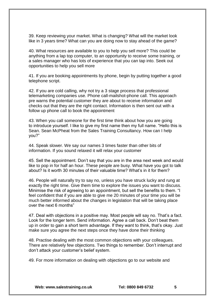39. Keep reviewing your market. What is changing? What will the market look like in 3 years time? What can you are doing now to stay ahead of the game?

40. What resources are available to you to help you sell more? This could be anything from a lap top computer, to an opportunity to receive some training, or a sales manager who has lots of experience that you can tap into. Seek out opportunities to help you sell more

41. If you are booking appointments by phone, begin by putting together a good telephone script.

42. If you are cold calling, why not try a 3 stage process that professional telemarketing companies use. Phone call-mailshot-phone call. This approach pre warns the potential customer they are about to receive information and checks out that they are the right contact. Information is then sent out with a follow up phone call to book the appointment

43. When you call someone for the first time think about how you are going to introduce yourself. I like to give my first name then my full name. "Hello this is Sean. Sean McPheat from the Sales Training Consultancy. How can I help you?"

44. Speak slower. We say our names 3 times faster than other bits of information. If you sound relaxed it will relax your customer

45. Sell the appointment. Don't say that you are in the area next week and would like to pop in for half an hour. These people are busy. What have you got to talk about? Is it worth 30 minutes of their valuable time? What's in it for them?

46. People will naturally try to say no, unless you have struck lucky and rung at exactly the right time. Give them time to explore the issues you want to discuss. Minimise the risk of agreeing to an appointment, but sell the benefits to them. "I feel confident that if you are able to give me 20 minutes of your time you will be much better informed about the changes in legislation that will be taking place over the next 6 months"

47. Deal with objections in a positive may. Most people will say no. That's a fact. Look for the longer term. Send information. Agree a call back. Don't beat them up in order to gain a short term advantage. If they want to think, that's okay. Just make sure you agree the next steps once they have done their thinking

48. Practise dealing with the most common objections with your colleagues. There are relatively few objections. Two things to remember. Don't interrupt and don't attack your customer's belief system.

49. For more information on dealing with objections go to our website and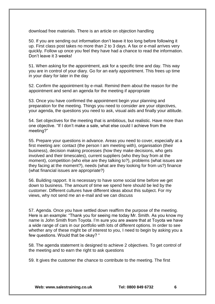download free materials. There is an article on objection handling

50. If you are sending out information don't leave it too long before following it up. First class post takes no more than 2 to 3 days. A fax or e-mail arrives very quickly. Follow up once you feel they have had a chance to read the information. Don't leave it 3 weeks!

51. When asking for the appointment, ask for a specific time and day. This way you are in control of your diary. Go for an early appointment. This frees up time in your diary for later in the day

52. Confirm the appointment by e-mail. Remind them about the reason for the appointment and send an agenda for the meeting if appropriate

53. Once you have confirmed the appointment begin your planning and preparation for the meeting. Things you need to consider are your objectives, your agenda, the questions you need to ask, visual aids and finally your attitude.

54. Set objectives for the meeting that is ambitious, but realistic. Have more than one objective. "If I don't make a sale, what else could I achieve from the meeting?"

55. Prepare your questions in advance. Areas you need to cover, especially at a first meeting are: contact (the person I am meeting with), organisation (their business), decision making processes (how they make decisions, who gets involved and their timescales), current suppliers (who they buy from at the moment), competition (who else are they talking to?), problems (what issues are they facing at the moment?), needs (what are they looking for from us?) finance (what financial issues are appropriate?)

56. Building rapport. It is necessary to have some social time before we get down to business. The amount of time we spend here should be led by the customer. Different cultures have different ideas about this subject. For my views, why not send me an e-mail and we can discuss

57. Agenda. Once you have settled down reaffirm the purpose of the meeting. Here is an example: "Thank you for seeing me today Mr. Smith. As you know my name is John Smith from Toyota. I'm sure you are aware that at Toyota we have a wide range of cars in our portfolio with lots of different options. In order to see whether any of these might be of interest to you, I need to begin by asking you a few questions. Would that be okay? "

58. The agenda statement is designed to achieve 2 objectives. To get control of the meeting and to earn the right to ask questions

59. It gives the customer the chance to contribute to the meeting. The first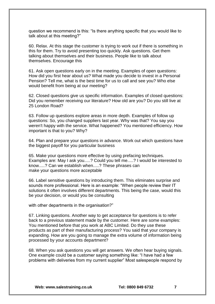question we recommend is this: "Is there anything specific that you would like to talk about at this meeting?"

60. Relax. At this stage the customer is trying to work out if there is something in this for them. Try to avoid presenting too quickly. Ask questions. Get them talking about themselves and their business. People like to talk about themselves. Encourage this

61. Ask open questions early on in the meeting. Examples of open questions: How did you first hear about us? What made you decide to invest in a Personal Pension? Tell me, what is the best time for us to call and see you? Who else would benefit from being at our meeting?

62. Closed questions give us specific information. Examples of closed questions: Did you remember receiving our literature? How old are you? Do you still live at 25 London Road?

63. Follow up questions explore areas in more depth. Examples of follow up questions: So, you changed suppliers last year. Why was that? You say you weren't happy with the service. What happened? You mentioned efficiency. How important is that to you? Why?

64. Plan and prepare your questions in advance. Work out which questions have the biggest payoff for you particular business

65. Make your questions more effective by using prefacing techniques. Examples are: May I ask you.....? Could you tell me.....? I would be interested to know.....? Can we establish when.....? These phrases can make your questions more acceptable

66. Label sensitive questions by introducing them. This eliminates surprise and sounds more professional. Here is an example: "When people review their IT solutions it often involves different departments. This being the case, would this be your decision, or would you be consulting

with other departments in the organisation?"

67. Linking questions. Another way to get acceptance for questions is to refer back to a previous statement made by the customer. Here are some examples: You mentioned before that you work at ABC Limited. Do they use these products as part of their manufacturing process? You said that your company is expanding. How are you going to manage the extra volume of information being processed by your accounts department?

68. When you ask questions you will get answers. We often hear buying signals. One example could be a customer saying something like: "I have had a few problems with deliveries from my current supplier" Most salespeople respond by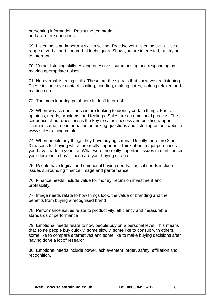presenting information. Resist the temptation and ask more questions

69. Listening is an important skill in selling. Practise your listening skills. Use a range of verbal and non-verbal techniques. Show you are interested, but try not to interrupt

70. Verbal listening skills. Asking questions, summarising and responding by making appropriate noises.

71. Non-verbal listening skills. These are the signals that show we are listening. These include eye contact, smiling, nodding, making notes, looking relaxed and making notes

72. The main learning point here is don't interrupt!

73. When we ask questions we are looking to identify certain things; Facts, opinions, needs, problems, and feelings. Sales are an emotional process. The sequence of our questions is the key to sales success and building rapport. There is some free information on asking questions and listening on our website www.salestraining.co.uk

74. When people buy things they have buying criteria. Usually there are 2 or 3 reasons for buying which are really important. Think about major purchases you have made in your life. What were the really important issues that influenced your decision to buy? These are your buying criteria

75. People have logical and emotional buying needs. Logical needs include issues surrounding finance, image and performance

76. Finance needs include value for money, return on investment and profitability

77. Image needs relate to how things look, the value of branding and the benefits from buying a recognised brand

78. Performance issues relate to productivity, efficiency and measurable standards of performance

79. Emotional needs relate to how people buy on a personal level. This means that some people buy quickly, some slowly, some like to consult with others, some like to compare alternatives and some like to make buying decisions after having done a lot of research

80. Emotional needs include power, achievement, order, safety, affiliation and recognition.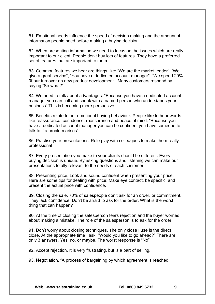81. Emotional needs influence the speed of decision making and the amount of information people need before making a buying decision

82. When presenting information we need to focus on the issues which are really important to our client. People don't buy lots of features. They have a preferred set of features that are important to them.

83. Common features we hear are things like: "We are the market leader", "We give a great service", "You have a dedicated account manager", "We spend 20% 0f our turnover on new product development". Many customers respond by saying "So what?"

84. We need to talk about advantages. "Because you have a dedicated account manager you can call and speak with a named person who understands your business" This is becoming more persuasive

85. Benefits relate to our emotional buying behaviour. People like to hear words like reassurance, confidence, reassurance and peace of mind. "Because you have a dedicated account manager you can be confident you have someone to talk to if a problem arises"

86. Practise your presentations. Role play with colleagues to make them really professional

87. Every presentation you make to your clients should be different. Every buying decision is unique. By asking questions and listening we can make our presentations totally relevant to the needs of each customer

88. Presenting price. Look and sound confident when presenting your price. Here are some tips for dealing with price: Make eye contact, be specific, and present the actual price with confidence.

89. Closing the sale. 70% of salespeople don't ask for an order, or commitment. They lack confidence. Don't be afraid to ask for the order. What is the worst thing that can happen?

90. At the time of closing the salesperson fears rejection and the buyer worries about making a mistake. The role of the salesperson is to ask for the order.

91. Don't worry about closing techniques. The only close I use is the direct close. At the appropriate time I ask: "Would you like to go ahead?" There are only 3 answers. Yes, no, or maybe. The worst response is "No"

92. Accept rejection. It is very frustrating, but is a part of selling.

93. Negotiation. "A process of bargaining by which agreement is reached